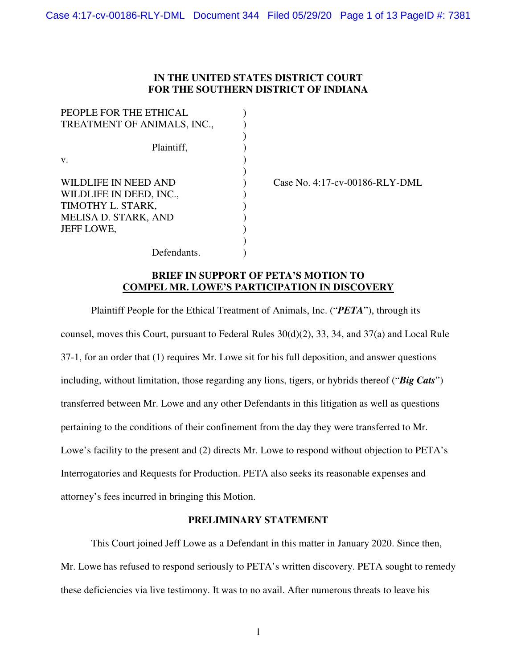## **IN THE UNITED STATES DISTRICT COURT FOR THE SOUTHERN DISTRICT OF INDIANA**

| PEOPLE FOR THE ETHICAL      |  |
|-----------------------------|--|
| TREATMENT OF ANIMALS, INC., |  |
|                             |  |
| Plaintiff,                  |  |
| V.                          |  |
|                             |  |
| WILDLIFE IN NEED AND        |  |
| WILDLIFE IN DEED, INC.,     |  |
| TIMOTHY L. STARK,           |  |
| MELISA D. STARK, AND        |  |
| JEFF LOWE,                  |  |
|                             |  |
| Defendants.                 |  |

Case No.  $4:17$ -cv-00186-RLY-DML

# **BRIEF IN SUPPORT OF PETA'S MOTION TO COMPEL MR. LOWE'S PARTICIPATION IN DISCOVERY**

Plaintiff People for the Ethical Treatment of Animals, Inc. ("*PETA*"), through its counsel, moves this Court, pursuant to Federal Rules 30(d)(2), 33, 34, and 37(a) and Local Rule 37-1, for an order that (1) requires Mr. Lowe sit for his full deposition, and answer questions including, without limitation, those regarding any lions, tigers, or hybrids thereof ("*Big Cats*") transferred between Mr. Lowe and any other Defendants in this litigation as well as questions pertaining to the conditions of their confinement from the day they were transferred to Mr. Lowe's facility to the present and (2) directs Mr. Lowe to respond without objection to PETA's Interrogatories and Requests for Production. PETA also seeks its reasonable expenses and attorney's fees incurred in bringing this Motion.

### **PRELIMINARY STATEMENT**

 This Court joined Jeff Lowe as a Defendant in this matter in January 2020. Since then, Mr. Lowe has refused to respond seriously to PETA's written discovery. PETA sought to remedy these deficiencies via live testimony. It was to no avail. After numerous threats to leave his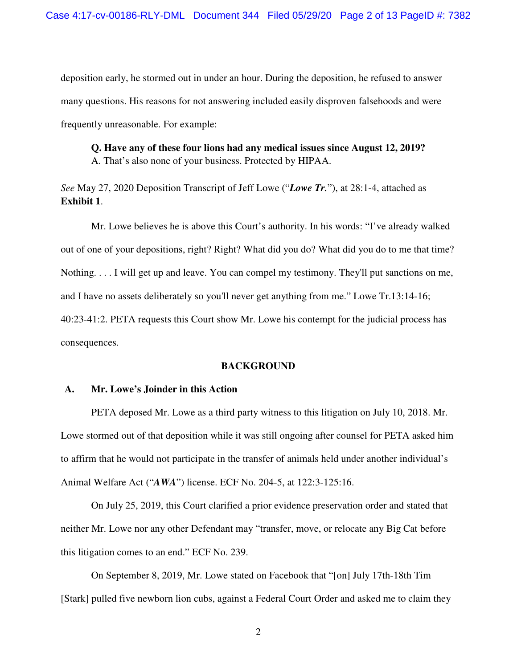deposition early, he stormed out in under an hour. During the deposition, he refused to answer many questions. His reasons for not answering included easily disproven falsehoods and were frequently unreasonable. For example:

**Q. Have any of these four lions had any medical issues since August 12, 2019?**  A. That's also none of your business. Protected by HIPAA.

*See* May 27, 2020 Deposition Transcript of Jeff Lowe ("*Lowe Tr.*"), at 28:1-4, attached as **Exhibit 1**.

 Mr. Lowe believes he is above this Court's authority. In his words: "I've already walked out of one of your depositions, right? Right? What did you do? What did you do to me that time? Nothing. . . . I will get up and leave. You can compel my testimony. They'll put sanctions on me, and I have no assets deliberately so you'll never get anything from me." Lowe Tr.13:14-16; 40:23-41:2. PETA requests this Court show Mr. Lowe his contempt for the judicial process has consequences.

### **BACKGROUND**

### **A. Mr. Lowe's Joinder in this Action**

PETA deposed Mr. Lowe as a third party witness to this litigation on July 10, 2018. Mr. Lowe stormed out of that deposition while it was still ongoing after counsel for PETA asked him to affirm that he would not participate in the transfer of animals held under another individual's Animal Welfare Act ("*AWA*") license. ECF No. 204-5, at 122:3-125:16.

On July 25, 2019, this Court clarified a prior evidence preservation order and stated that neither Mr. Lowe nor any other Defendant may "transfer, move, or relocate any Big Cat before this litigation comes to an end." ECF No. 239.

On September 8, 2019, Mr. Lowe stated on Facebook that "[on] July 17th-18th Tim [Stark] pulled five newborn lion cubs, against a Federal Court Order and asked me to claim they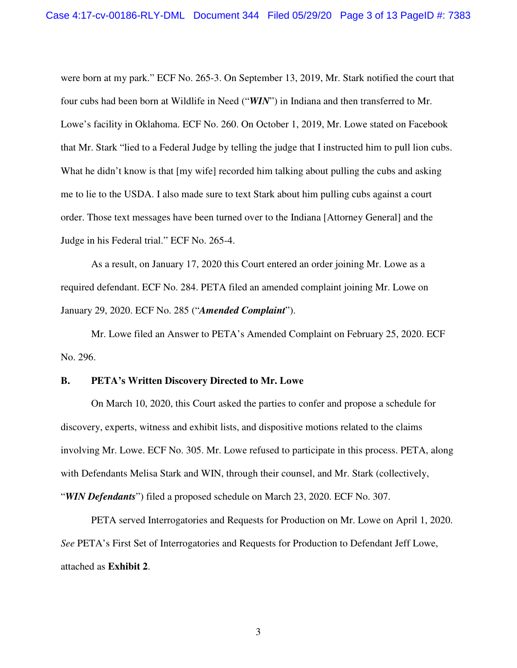were born at my park." ECF No. 265-3. On September 13, 2019, Mr. Stark notified the court that four cubs had been born at Wildlife in Need ("*WIN*") in Indiana and then transferred to Mr. Lowe's facility in Oklahoma. ECF No. 260. On October 1, 2019, Mr. Lowe stated on Facebook that Mr. Stark "lied to a Federal Judge by telling the judge that I instructed him to pull lion cubs. What he didn't know is that [my wife] recorded him talking about pulling the cubs and asking me to lie to the USDA. I also made sure to text Stark about him pulling cubs against a court order. Those text messages have been turned over to the Indiana [Attorney General] and the Judge in his Federal trial." ECF No. 265-4.

As a result, on January 17, 2020 this Court entered an order joining Mr. Lowe as a required defendant. ECF No. 284. PETA filed an amended complaint joining Mr. Lowe on January 29, 2020. ECF No. 285 ("*Amended Complaint*").

Mr. Lowe filed an Answer to PETA's Amended Complaint on February 25, 2020. ECF No. 296.

### **B. PETA's Written Discovery Directed to Mr. Lowe**

On March 10, 2020, this Court asked the parties to confer and propose a schedule for discovery, experts, witness and exhibit lists, and dispositive motions related to the claims involving Mr. Lowe. ECF No. 305. Mr. Lowe refused to participate in this process. PETA, along with Defendants Melisa Stark and WIN, through their counsel, and Mr. Stark (collectively, "*WIN Defendants*") filed a proposed schedule on March 23, 2020. ECF No. 307.

PETA served Interrogatories and Requests for Production on Mr. Lowe on April 1, 2020. *See* PETA's First Set of Interrogatories and Requests for Production to Defendant Jeff Lowe, attached as **Exhibit 2**.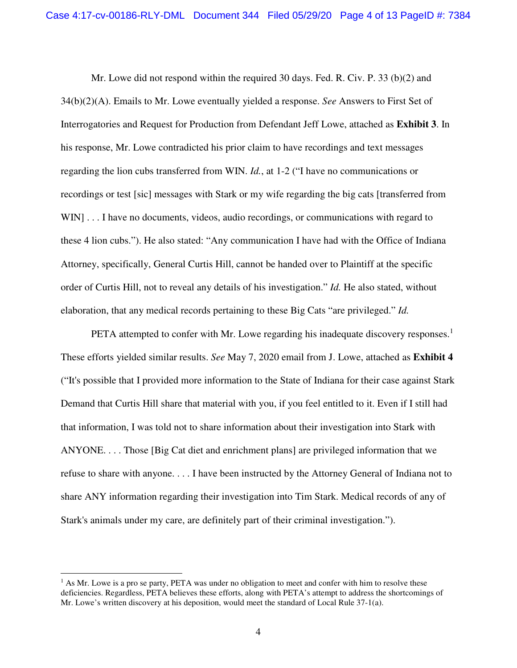Mr. Lowe did not respond within the required 30 days. Fed. R. Civ. P. 33 (b)(2) and 34(b)(2)(A). Emails to Mr. Lowe eventually yielded a response. *See* Answers to First Set of Interrogatories and Request for Production from Defendant Jeff Lowe, attached as **Exhibit 3**. In his response, Mr. Lowe contradicted his prior claim to have recordings and text messages regarding the lion cubs transferred from WIN. *Id.*, at 1-2 ("I have no communications or recordings or test [sic] messages with Stark or my wife regarding the big cats [transferred from WIN] . . . I have no documents, videos, audio recordings, or communications with regard to these 4 lion cubs."). He also stated: "Any communication I have had with the Office of Indiana Attorney, specifically, General Curtis Hill, cannot be handed over to Plaintiff at the specific order of Curtis Hill, not to reveal any details of his investigation." *Id.* He also stated, without elaboration, that any medical records pertaining to these Big Cats "are privileged." *Id.*

PETA attempted to confer with Mr. Lowe regarding his inadequate discovery responses.<sup>1</sup> These efforts yielded similar results. *See* May 7, 2020 email from J. Lowe, attached as **Exhibit 4** ("It's possible that I provided more information to the State of Indiana for their case against Stark Demand that Curtis Hill share that material with you, if you feel entitled to it. Even if I still had that information, I was told not to share information about their investigation into Stark with ANYONE. . . . Those [Big Cat diet and enrichment plans] are privileged information that we refuse to share with anyone. . . . I have been instructed by the Attorney General of Indiana not to share ANY information regarding their investigation into Tim Stark. Medical records of any of Stark's animals under my care, are definitely part of their criminal investigation.").

-

<sup>&</sup>lt;sup>1</sup> As Mr. Lowe is a pro se party, PETA was under no obligation to meet and confer with him to resolve these deficiencies. Regardless, PETA believes these efforts, along with PETA's attempt to address the shortcomings of Mr. Lowe's written discovery at his deposition, would meet the standard of Local Rule 37-1(a).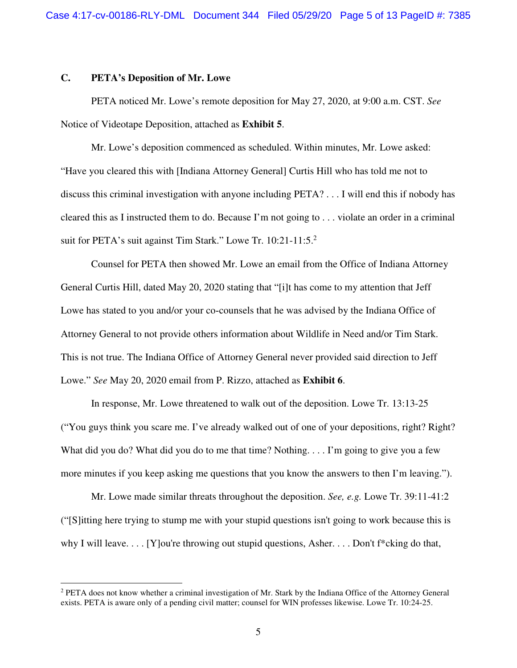### **C. PETA's Deposition of Mr. Lowe**

-

PETA noticed Mr. Lowe's remote deposition for May 27, 2020, at 9:00 a.m. CST. *See*  Notice of Videotape Deposition, attached as **Exhibit 5**.

Mr. Lowe's deposition commenced as scheduled. Within minutes, Mr. Lowe asked: "Have you cleared this with [Indiana Attorney General] Curtis Hill who has told me not to discuss this criminal investigation with anyone including PETA? . . . I will end this if nobody has cleared this as I instructed them to do. Because I'm not going to . . . violate an order in a criminal suit for PETA's suit against Tim Stark." Lowe Tr. 10:21-11:5.<sup>2</sup>

Counsel for PETA then showed Mr. Lowe an email from the Office of Indiana Attorney General Curtis Hill, dated May 20, 2020 stating that "[i]t has come to my attention that Jeff Lowe has stated to you and/or your co-counsels that he was advised by the Indiana Office of Attorney General to not provide others information about Wildlife in Need and/or Tim Stark. This is not true. The Indiana Office of Attorney General never provided said direction to Jeff Lowe." *See* May 20, 2020 email from P. Rizzo, attached as **Exhibit 6**.

In response, Mr. Lowe threatened to walk out of the deposition. Lowe Tr. 13:13-25 ("You guys think you scare me. I've already walked out of one of your depositions, right? Right? What did you do? What did you do to me that time? Nothing. . . . I'm going to give you a few more minutes if you keep asking me questions that you know the answers to then I'm leaving.").

Mr. Lowe made similar threats throughout the deposition. *See, e.g.* Lowe Tr. 39:11-41:2 ("[S]itting here trying to stump me with your stupid questions isn't going to work because this is why I will leave.  $\ldots$  [Y]ou're throwing out stupid questions, Asher.  $\ldots$  Don't f<sup>\*</sup>cking do that,

<sup>&</sup>lt;sup>2</sup> PETA does not know whether a criminal investigation of Mr. Stark by the Indiana Office of the Attorney General exists. PETA is aware only of a pending civil matter; counsel for WIN professes likewise. Lowe Tr. 10:24-25.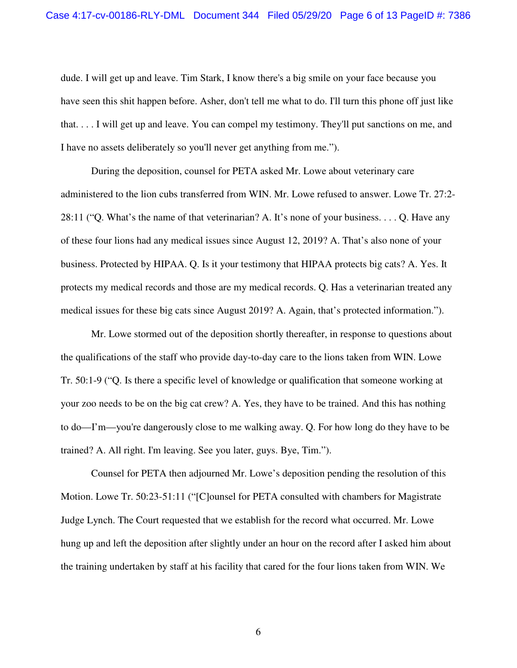dude. I will get up and leave. Tim Stark, I know there's a big smile on your face because you have seen this shit happen before. Asher, don't tell me what to do. I'll turn this phone off just like that. . . . I will get up and leave. You can compel my testimony. They'll put sanctions on me, and I have no assets deliberately so you'll never get anything from me.").

During the deposition, counsel for PETA asked Mr. Lowe about veterinary care administered to the lion cubs transferred from WIN. Mr. Lowe refused to answer. Lowe Tr. 27:2- 28:11 ("Q. What's the name of that veterinarian? A. It's none of your business. . . . Q. Have any of these four lions had any medical issues since August 12, 2019? A. That's also none of your business. Protected by HIPAA. Q. Is it your testimony that HIPAA protects big cats? A. Yes. It protects my medical records and those are my medical records. Q. Has a veterinarian treated any medical issues for these big cats since August 2019? A. Again, that's protected information.").

Mr. Lowe stormed out of the deposition shortly thereafter, in response to questions about the qualifications of the staff who provide day-to-day care to the lions taken from WIN. Lowe Tr. 50:1-9 ("Q. Is there a specific level of knowledge or qualification that someone working at your zoo needs to be on the big cat crew? A. Yes, they have to be trained. And this has nothing to do—I'm—you're dangerously close to me walking away. Q. For how long do they have to be trained? A. All right. I'm leaving. See you later, guys. Bye, Tim.").

Counsel for PETA then adjourned Mr. Lowe's deposition pending the resolution of this Motion. Lowe Tr. 50:23-51:11 ("[C]ounsel for PETA consulted with chambers for Magistrate Judge Lynch. The Court requested that we establish for the record what occurred. Mr. Lowe hung up and left the deposition after slightly under an hour on the record after I asked him about the training undertaken by staff at his facility that cared for the four lions taken from WIN. We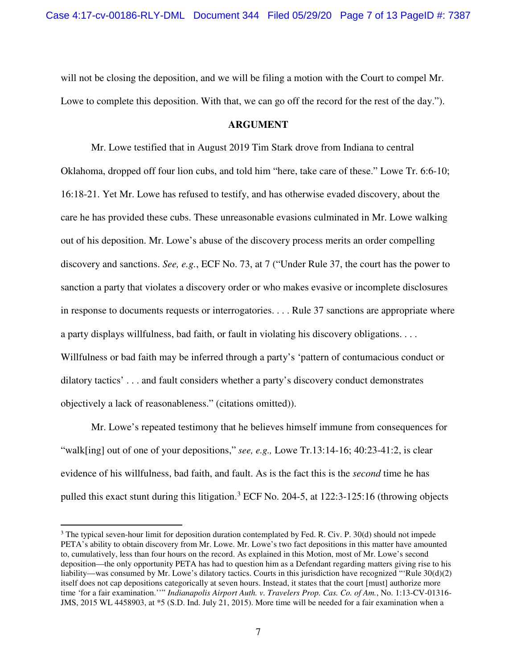will not be closing the deposition, and we will be filing a motion with the Court to compel Mr. Lowe to complete this deposition. With that, we can go off the record for the rest of the day.").

#### **ARGUMENT**

 Mr. Lowe testified that in August 2019 Tim Stark drove from Indiana to central Oklahoma, dropped off four lion cubs, and told him "here, take care of these." Lowe Tr. 6:6-10; 16:18-21. Yet Mr. Lowe has refused to testify, and has otherwise evaded discovery, about the care he has provided these cubs. These unreasonable evasions culminated in Mr. Lowe walking out of his deposition. Mr. Lowe's abuse of the discovery process merits an order compelling discovery and sanctions. *See, e.g.*, ECF No. 73, at 7 ("Under Rule 37, the court has the power to sanction a party that violates a discovery order or who makes evasive or incomplete disclosures in response to documents requests or interrogatories. . . . Rule 37 sanctions are appropriate where a party displays willfulness, bad faith, or fault in violating his discovery obligations. . . . Willfulness or bad faith may be inferred through a party's 'pattern of contumacious conduct or dilatory tactics' . . . and fault considers whether a party's discovery conduct demonstrates objectively a lack of reasonableness." (citations omitted)).

 Mr. Lowe's repeated testimony that he believes himself immune from consequences for "walk[ing] out of one of your depositions," *see, e.g.,* Lowe Tr.13:14-16; 40:23-41:2, is clear evidence of his willfulness, bad faith, and fault. As is the fact this is the *second* time he has pulled this exact stunt during this litigation.<sup>3</sup> ECF No. 204-5, at 122:3-125:16 (throwing objects

-

 $3$  The typical seven-hour limit for deposition duration contemplated by Fed. R. Civ. P. 30(d) should not impede PETA's ability to obtain discovery from Mr. Lowe. Mr. Lowe's two fact depositions in this matter have amounted to, cumulatively, less than four hours on the record. As explained in this Motion, most of Mr. Lowe's second deposition—the only opportunity PETA has had to question him as a Defendant regarding matters giving rise to his liability—was consumed by Mr. Lowe's dilatory tactics. Courts in this jurisdiction have recognized "'Rule 30(d)(2) itself does not cap depositions categorically at seven hours. Instead, it states that the court [must] authorize more time 'for a fair examination.''" *Indianapolis Airport Auth. v. Travelers Prop. Cas. Co. of Am.*, No. 1:13-CV-01316- JMS, 2015 WL 4458903, at \*5 (S.D. Ind. July 21, 2015). More time will be needed for a fair examination when a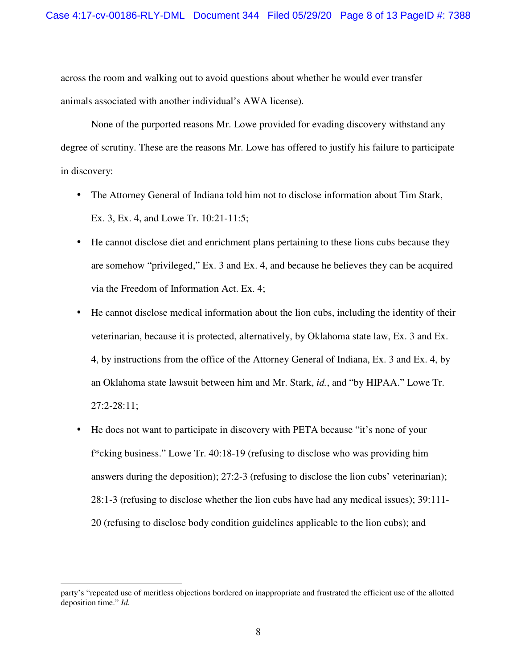across the room and walking out to avoid questions about whether he would ever transfer animals associated with another individual's AWA license).

None of the purported reasons Mr. Lowe provided for evading discovery withstand any degree of scrutiny. These are the reasons Mr. Lowe has offered to justify his failure to participate in discovery:

- The Attorney General of Indiana told him not to disclose information about Tim Stark, Ex. 3, Ex. 4, and Lowe Tr. 10:21-11:5;
- He cannot disclose diet and enrichment plans pertaining to these lions cubs because they are somehow "privileged," Ex. 3 and Ex. 4, and because he believes they can be acquired via the Freedom of Information Act. Ex. 4;
- He cannot disclose medical information about the lion cubs, including the identity of their veterinarian, because it is protected, alternatively, by Oklahoma state law, Ex. 3 and Ex. 4, by instructions from the office of the Attorney General of Indiana, Ex. 3 and Ex. 4, by an Oklahoma state lawsuit between him and Mr. Stark, *id.*, and "by HIPAA." Lowe Tr. 27:2-28:11;
- He does not want to participate in discovery with PETA because "it's none of your f\*cking business." Lowe Tr. 40:18-19 (refusing to disclose who was providing him answers during the deposition); 27:2-3 (refusing to disclose the lion cubs' veterinarian); 28:1-3 (refusing to disclose whether the lion cubs have had any medical issues); 39:111- 20 (refusing to disclose body condition guidelines applicable to the lion cubs); and

-

party's "repeated use of meritless objections bordered on inappropriate and frustrated the efficient use of the allotted deposition time." *Id.*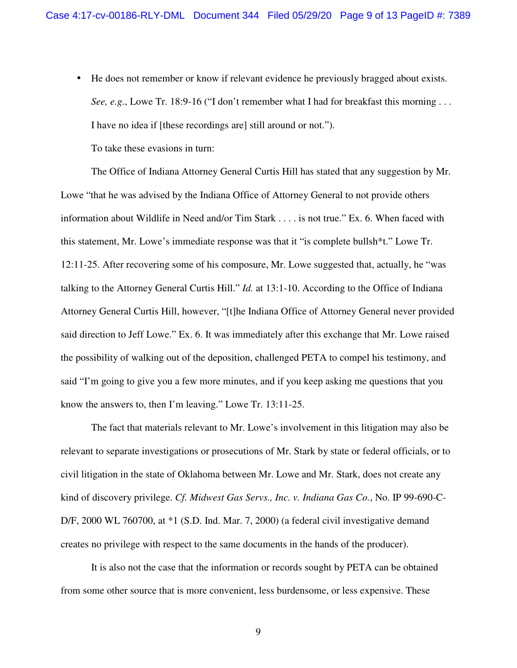• He does not remember or know if relevant evidence he previously bragged about exists. *See, e.g.*, Lowe Tr. 18:9-16 ("I don't remember what I had for breakfast this morning . . . I have no idea if [these recordings are] still around or not.").

To take these evasions in turn:

The Office of Indiana Attorney General Curtis Hill has stated that any suggestion by Mr. Lowe "that he was advised by the Indiana Office of Attorney General to not provide others information about Wildlife in Need and/or Tim Stark . . . . is not true." Ex. 6. When faced with this statement, Mr. Lowe's immediate response was that it "is complete bullsh\*t." Lowe Tr. 12:11-25. After recovering some of his composure, Mr. Lowe suggested that, actually, he "was talking to the Attorney General Curtis Hill." *Id.* at 13:1-10. According to the Office of Indiana Attorney General Curtis Hill, however, "[t]he Indiana Office of Attorney General never provided said direction to Jeff Lowe." Ex. 6. It was immediately after this exchange that Mr. Lowe raised the possibility of walking out of the deposition, challenged PETA to compel his testimony, and said "I'm going to give you a few more minutes, and if you keep asking me questions that you know the answers to, then I'm leaving." Lowe Tr. 13:11-25.

 The fact that materials relevant to Mr. Lowe's involvement in this litigation may also be relevant to separate investigations or prosecutions of Mr. Stark by state or federal officials, or to civil litigation in the state of Oklahoma between Mr. Lowe and Mr. Stark, does not create any kind of discovery privilege. *Cf. Midwest Gas Servs., Inc. v. Indiana Gas Co.*, No. IP 99-690-C-D/F, 2000 WL 760700, at  $*1$  (S.D. Ind. Mar. 7, 2000) (a federal civil investigative demand creates no privilege with respect to the same documents in the hands of the producer).

 It is also not the case that the information or records sought by PETA can be obtained from some other source that is more convenient, less burdensome, or less expensive. These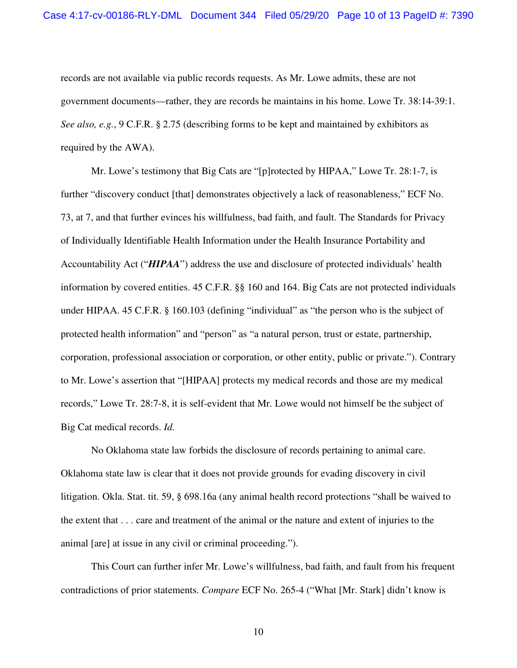records are not available via public records requests. As Mr. Lowe admits, these are not government documents—rather, they are records he maintains in his home. Lowe Tr. 38:14-39:1. *See also, e.g.*, 9 C.F.R. § 2.75 (describing forms to be kept and maintained by exhibitors as required by the AWA).

Mr. Lowe's testimony that Big Cats are "[p]rotected by HIPAA," Lowe Tr. 28:1-7, is further "discovery conduct [that] demonstrates objectively a lack of reasonableness," ECF No. 73, at 7, and that further evinces his willfulness, bad faith, and fault. The Standards for Privacy of Individually Identifiable Health Information under the Health Insurance Portability and Accountability Act ("*HIPAA*") address the use and disclosure of protected individuals' health information by covered entities. 45 C.F.R. §§ 160 and 164. Big Cats are not protected individuals under HIPAA. 45 C.F.R. § 160.103 (defining "individual" as "the person who is the subject of protected health information" and "person" as "a natural person, trust or estate, partnership, corporation, professional association or corporation, or other entity, public or private."). Contrary to Mr. Lowe's assertion that "[HIPAA] protects my medical records and those are my medical records," Lowe Tr. 28:7-8, it is self-evident that Mr. Lowe would not himself be the subject of Big Cat medical records. *Id.* 

No Oklahoma state law forbids the disclosure of records pertaining to animal care. Oklahoma state law is clear that it does not provide grounds for evading discovery in civil litigation. Okla. Stat. tit. 59, § 698.16a (any animal health record protections "shall be waived to the extent that . . . care and treatment of the animal or the nature and extent of injuries to the animal [are] at issue in any civil or criminal proceeding.").

This Court can further infer Mr. Lowe's willfulness, bad faith, and fault from his frequent contradictions of prior statements. *Compare* ECF No. 265-4 ("What [Mr. Stark] didn't know is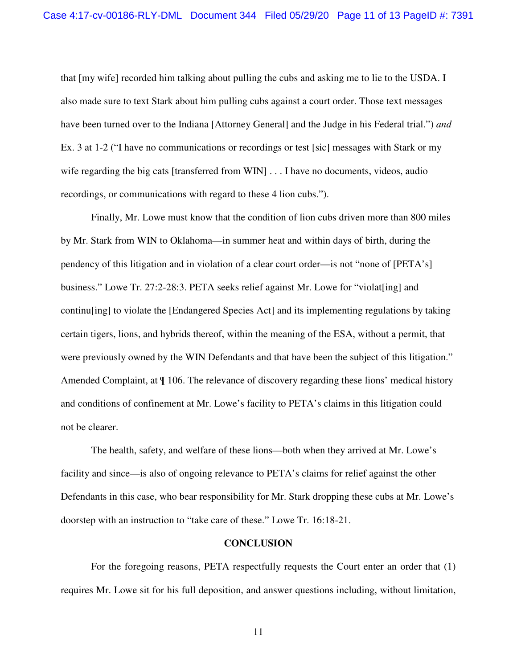that [my wife] recorded him talking about pulling the cubs and asking me to lie to the USDA. I also made sure to text Stark about him pulling cubs against a court order. Those text messages have been turned over to the Indiana [Attorney General] and the Judge in his Federal trial.") *and*  Ex. 3 at 1-2 ("I have no communications or recordings or test [sic] messages with Stark or my wife regarding the big cats [transferred from WIN] . . . I have no documents, videos, audio recordings, or communications with regard to these 4 lion cubs.").

Finally, Mr. Lowe must know that the condition of lion cubs driven more than 800 miles by Mr. Stark from WIN to Oklahoma—in summer heat and within days of birth, during the pendency of this litigation and in violation of a clear court order—is not "none of [PETA's] business." Lowe Tr. 27:2-28:3. PETA seeks relief against Mr. Lowe for "violat[ing] and continu[ing] to violate the [Endangered Species Act] and its implementing regulations by taking certain tigers, lions, and hybrids thereof, within the meaning of the ESA, without a permit, that were previously owned by the WIN Defendants and that have been the subject of this litigation." Amended Complaint, at  $\P$  106. The relevance of discovery regarding these lions' medical history and conditions of confinement at Mr. Lowe's facility to PETA's claims in this litigation could not be clearer.

The health, safety, and welfare of these lions—both when they arrived at Mr. Lowe's facility and since—is also of ongoing relevance to PETA's claims for relief against the other Defendants in this case, who bear responsibility for Mr. Stark dropping these cubs at Mr. Lowe's doorstep with an instruction to "take care of these." Lowe Tr. 16:18-21.

#### **CONCLUSION**

 For the foregoing reasons, PETA respectfully requests the Court enter an order that (1) requires Mr. Lowe sit for his full deposition, and answer questions including, without limitation,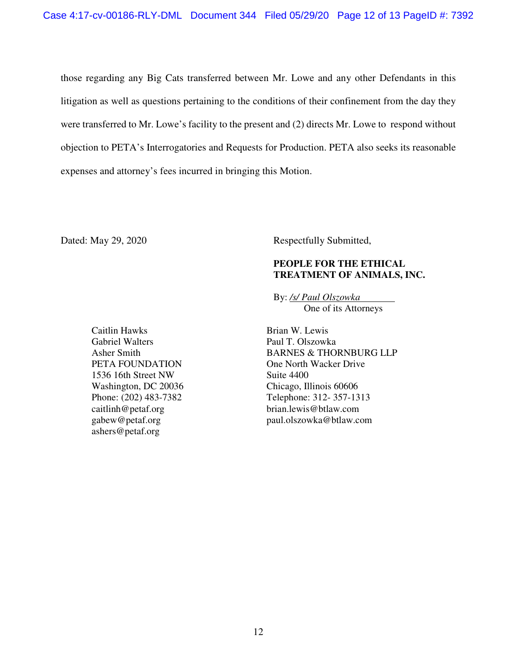those regarding any Big Cats transferred between Mr. Lowe and any other Defendants in this litigation as well as questions pertaining to the conditions of their confinement from the day they were transferred to Mr. Lowe's facility to the present and (2) directs Mr. Lowe to respond without objection to PETA's Interrogatories and Requests for Production. PETA also seeks its reasonable expenses and attorney's fees incurred in bringing this Motion.

Dated: May 29, 2020 Respectfully Submitted,

## **PEOPLE FOR THE ETHICAL TREATMENT OF ANIMALS, INC.**

By: */s/ Paul Olszowka*  One of its Attorneys

Caitlin Hawks Gabriel Walters Asher Smith PETA FOUNDATION 1536 16th Street NW Washington, DC 20036 Phone: (202) 483-7382 caitlinh@petaf.org gabew@petaf.org ashers@petaf.org

Brian W. Lewis Paul T. Olszowka BARNES & THORNBURG LLP One North Wacker Drive Suite 4400 Chicago, Illinois 60606 Telephone: 312- 357-1313 brian.lewis@btlaw.com paul.olszowka@btlaw.com